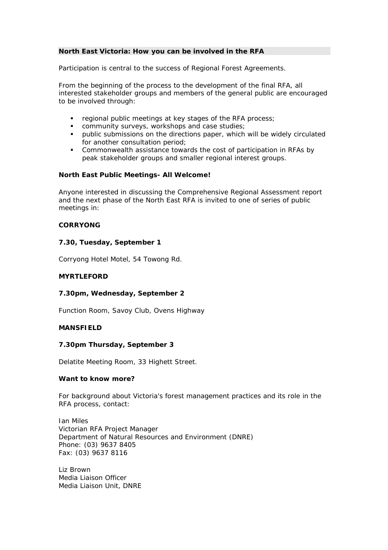### **North East Victoria: How you can be involved in the RFA**

Participation is central to the success of Regional Forest Agreements.

From the beginning of the process to the development of the final RFA, all interested stakeholder groups and members of the general public are encouraged to be involved through:

- regional public meetings at key stages of the RFA process;<br>■ community surveys workshops and case studies;
- community surveys, workshops and case studies;
- public submissions on the directions paper, which will be widely circulated for another consultation period;
- Commonwealth assistance towards the cost of participation in RFAs by peak stakeholder groups and smaller regional interest groups.

#### **North East Public Meetings- All Welcome!**

Anyone interested in discussing the Comprehensive Regional Assessment report and the next phase of the North East RFA is invited to one of series of public meetings in:

## **CORRYONG**

## **7.30, Tuesday, September 1**

Corryong Hotel Motel, 54 Towong Rd.

#### **MYRTLEFORD**

#### **7.30pm, Wednesday, September 2**

Function Room, Savoy Club, Ovens Highway

## **MANSFIELD**

#### **7.30pm Thursday, September 3**

Delatite Meeting Room, 33 Highett Street.

# **Want to know more?**

For background about Victoria's forest management practices and its role in the RFA process, contact:

Ian Miles Victorian RFA Project Manager Department of Natural Resources and Environment (DNRE) Phone: (03) 9637 8405 Fax: (03) 9637 8116

Liz Brown Media Liaison Officer Media Liaison Unit, DNRE